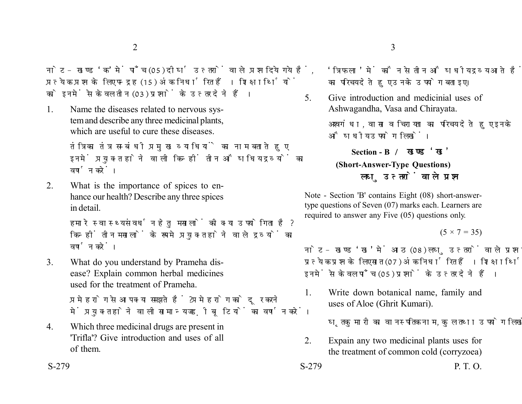नोट- खण्ड 'क' में पाँच (05) दीर्घ उत्तरों वाले प्रश्न दिये गये हैं. प्रत्येक प्रश्न के लिए पन्द्रह (15) अंक निर्धारित हैं। शिक्षार्थियों को इनमें से केवल तीन (03) प्रश्नों के उत्तर देने हैं।

1. Name the diseases related to nervous system and describe any three medicinal plants, which are useful to cure these diseases.

> तंत्रिका तंत्र सम्बंधी प्रमुख व्याधियों का नाम बताते हुए इनमें प्रयुक्त होने वाली किन्हीं तीन औषधिय द्रव्यों का वर्णन करें।

2. What is the importance of spices to enhance our health? Describe any three spices in detail.

> हमारे स्वास्थ्य संवर्धन हेतु मसालों की क्या उपयोगिता है? किन्हीं तीन मसालों के रूप मे प्रयुक्त होने वाले द्रव्यों का वर्णन करें।

3. What do you understand by Prameha disease? Explain common herbal medicines used for the treatment of Prameha.

> प्रमेह रोग से आप क्या समझते हैं ? प्रमेह रोग को दूर करने में प्रयुक्त होने वाली सामान्य जड़ी बृटियों का वर्णन करें।

4. Which three medicinal drugs are present in 'Trifla'? Give introduction and uses of all of them.

'त्रिफला' में कौन से तीन औषधीय द्रव्य आते हैं ? तीनों का परिचय देते हुए उनके उपयोग बताइए।

5. Give introduction and medicinial uses of Ashwagandha, Vasa and Chirayata.

> अश्वगंधा, वासा व चिरायता का परिचय देते हुए इनके औषधीय उपयोग लिखें।

## **Section - B (Short-Answer-Type Questions)** लघ उत्तरों वाले प्रश्न

Note - Section 'B' contains Eight (08) short-answertype questions of Seven (07) marks each. Learners are required to answer any Five (05) questions only.

 $(5 \times 7 = 35)$ 

नोट- खण्ड 'ख' में आठ (08) लघु उत्तरों वाले प्रश्न दिये गये हैं, प्रत्येक प्रश्न के लिए सात (07) अंक निर्धारित हैं। शिक्षार्थियों को इनमें से केवल पाँच (05) प्रश्नों के उत्तर देने हैं।

1. Write down botanical name, family and uses of Aloe (Ghrit Kumari).

घृतकमारी का वानस्पतिक नाम, कुल तथा उपयोग लिखें।

- 2. Expain any two medicinal plants uses for the treatment of common cold (corryzoea)
- $S-279$  P. T. O.